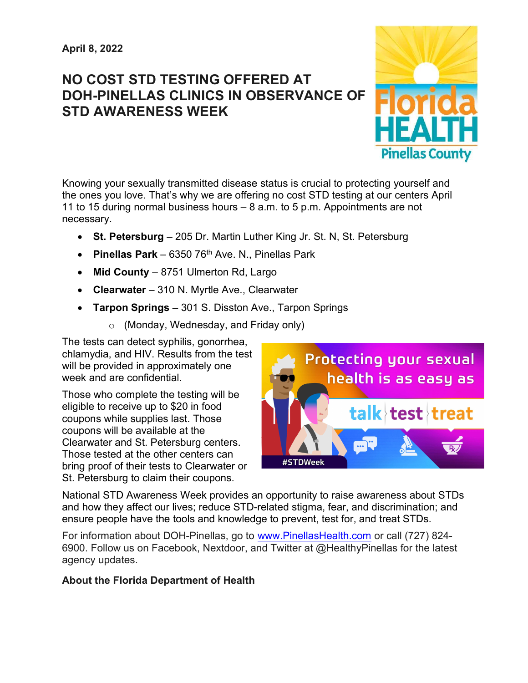## NO COST STD TESTING OFFERED AT DOH-PINELLAS CLINICS IN OBSERVANCE OF STD AWARENESS WEEK



Knowing your sexually transmitted disease status is crucial to protecting yourself and the ones you love. That's why we are offering no cost STD testing at our centers April 11 to 15 during normal business hours – 8 a.m. to 5 p.m. Appointments are not necessary.

- St. Petersburg 205 Dr. Martin Luther King Jr. St. N, St. Petersburg
- Pinellas Park 6350 76<sup>th</sup> Ave. N., Pinellas Park
- $\bullet$  Mid County 8751 Ulmerton Rd, Largo
- Clearwater 310 N. Myrtle Ave., Clearwater
- Tarpon Springs 301 S. Disston Ave., Tarpon Springs
	- o (Monday, Wednesday, and Friday only)

The tests can detect syphilis, gonorrhea, chlamydia, and HIV. Results from the test will be provided in approximately one week and are confidential

Those who complete the testing will be eligible to receive up to \$20 in food coupons while supplies last. Those coupons will be available at the Clearwater and St. Petersburg centers. Those tested at the other centers can bring proof of their tests to Clearwater or St. Petersburg to claim their coupons.



National STD Awareness Week provides an opportunity to raise awareness about STDs and how they affect our lives; reduce STD-related stigma, fear, and discrimination; and ensure people have the tools and knowledge to prevent, test for, and treat STDs.

For information about DOH-Pinellas, go to www.PinellasHealth.com or call (727) 824- 6900. Follow us on Facebook, Nextdoor, and Twitter at @HealthyPinellas for the latest agency updates.

## About the Florida Department of Health